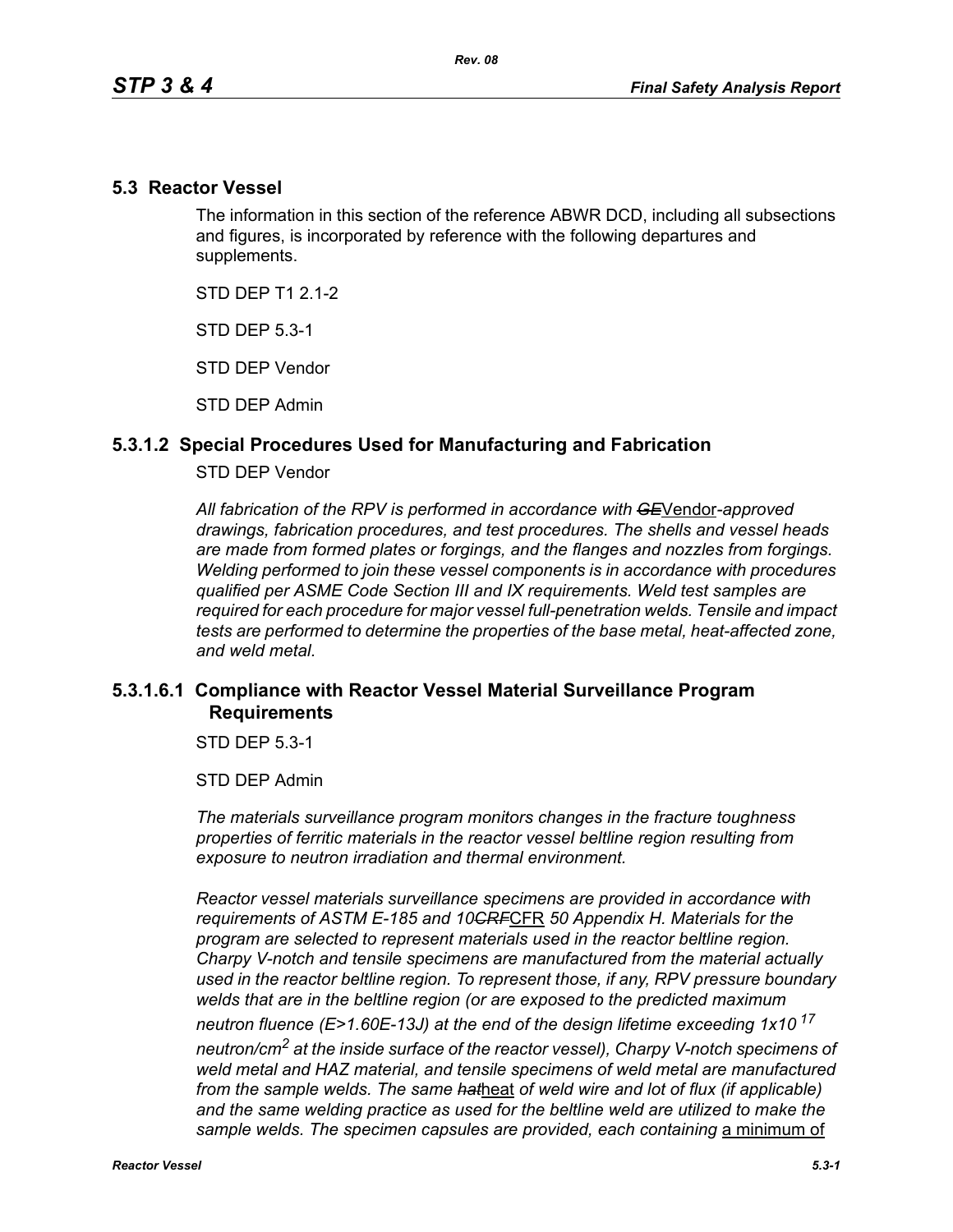### **5.3 Reactor Vessel**

The information in this section of the reference ABWR DCD, including all subsections and figures, is incorporated by reference with the following departures and supplements.

STD DFP T1 2 1-2

STD DEP 5.3-1

STD DEP Vendor

STD DEP Admin

## **5.3.1.2 Special Procedures Used for Manufacturing and Fabrication**

#### STD DEP Vendor

*All fabrication of the RPV is performed in accordance with GE*Vendor*-approved drawings, fabrication procedures, and test procedures. The shells and vessel heads are made from formed plates or forgings, and the flanges and nozzles from forgings. Welding performed to join these vessel components is in accordance with procedures qualified per ASME Code Section III and IX requirements. Weld test samples are required for each procedure for major vessel full-penetration welds. Tensile and impact tests are performed to determine the properties of the base metal, heat-affected zone, and weld metal.*

# **5.3.1.6.1 Compliance with Reactor Vessel Material Surveillance Program Requirements**

STD DEP 5.3-1

STD DEP Admin

*The materials surveillance program monitors changes in the fracture toughness properties of ferritic materials in the reactor vessel beltline region resulting from exposure to neutron irradiation and thermal environment.* 

*Reactor vessel materials surveillance specimens are provided in accordance with requirements of ASTM E-185 and 10CRF*CFR *50 Appendix H. Materials for the program are selected to represent materials used in the reactor beltline region. Charpy V-notch and tensile specimens are manufactured from the material actually used in the reactor beltline region. To represent those, if any, RPV pressure boundary welds that are in the beltline region (or are exposed to the predicted maximum neutron fluence (E>1.60E-13J) at the end of the design lifetime exceeding 1x10<sup>17</sup> neutron/cm2 at the inside surface of the reactor vessel), Charpy V-notch specimens of weld metal and HAZ material, and tensile specimens of weld metal are manufactured from the sample welds. The same hat*heat *of weld wire and lot of flux (if applicable)*  and the same welding practice as used for the beltline weld are utilized to make the sample welds. The specimen capsules are provided, each containing a minimum of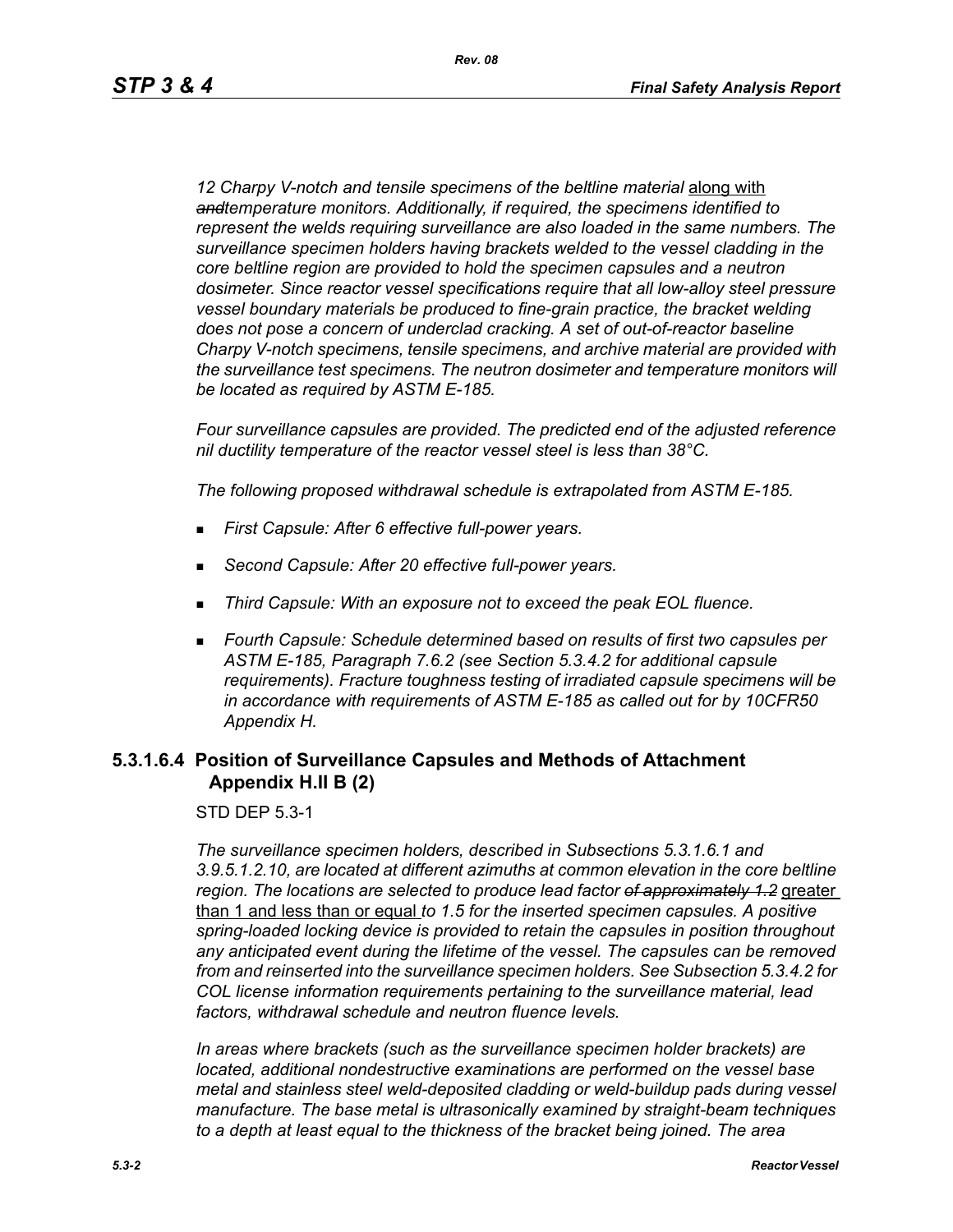12 Charpy V-notch and tensile specimens of the beltline material **along with** *andtemperature monitors. Additionally, if required, the specimens identified to represent the welds requiring surveillance are also loaded in the same numbers. The surveillance specimen holders having brackets welded to the vessel cladding in the core beltline region are provided to hold the specimen capsules and a neutron dosimeter. Since reactor vessel specifications require that all low-alloy steel pressure vessel boundary materials be produced to fine-grain practice, the bracket welding does not pose a concern of underclad cracking. A set of out-of-reactor baseline Charpy V-notch specimens, tensile specimens, and archive material are provided with the surveillance test specimens. The neutron dosimeter and temperature monitors will be located as required by ASTM E-185.*

*Four surveillance capsules are provided. The predicted end of the adjusted reference nil ductility temperature of the reactor vessel steel is less than 38°C.*

*The following proposed withdrawal schedule is extrapolated from ASTM E-185.*

- *First Capsule: After 6 effective full-power years.*
- *Second Capsule: After 20 effective full-power years.*
- *Third Capsule: With an exposure not to exceed the peak EOL fluence.*
- *Fourth Capsule: Schedule determined based on results of first two capsules per ASTM E-185, Paragraph 7.6.2 (see Section 5.3.4.2 for additional capsule requirements). Fracture toughness testing of irradiated capsule specimens will be in accordance with requirements of ASTM E-185 as called out for by 10CFR50 Appendix H.*

## **5.3.1.6.4 Position of Surveillance Capsules and Methods of Attachment Appendix H.II B (2)**

STD DEP 5.3-1

*The surveillance specimen holders, described in Subsections 5.3.1.6.1 and 3.9.5.1.2.10, are located at different azimuths at common elevation in the core beltline region. The locations are selected to produce lead factor of approximately 1.2* greater than 1 and less than or equal *to 1.5 for the inserted specimen capsules. A positive spring-loaded locking device is provided to retain the capsules in position throughout any anticipated event during the lifetime of the vessel. The capsules can be removed from and reinserted into the surveillance specimen holders. See Subsection 5.3.4.2 for COL license information requirements pertaining to the surveillance material, lead factors, withdrawal schedule and neutron fluence levels.*

*In areas where brackets (such as the surveillance specimen holder brackets) are located, additional nondestructive examinations are performed on the vessel base metal and stainless steel weld-deposited cladding or weld-buildup pads during vessel manufacture. The base metal is ultrasonically examined by straight-beam techniques to a depth at least equal to the thickness of the bracket being joined. The area*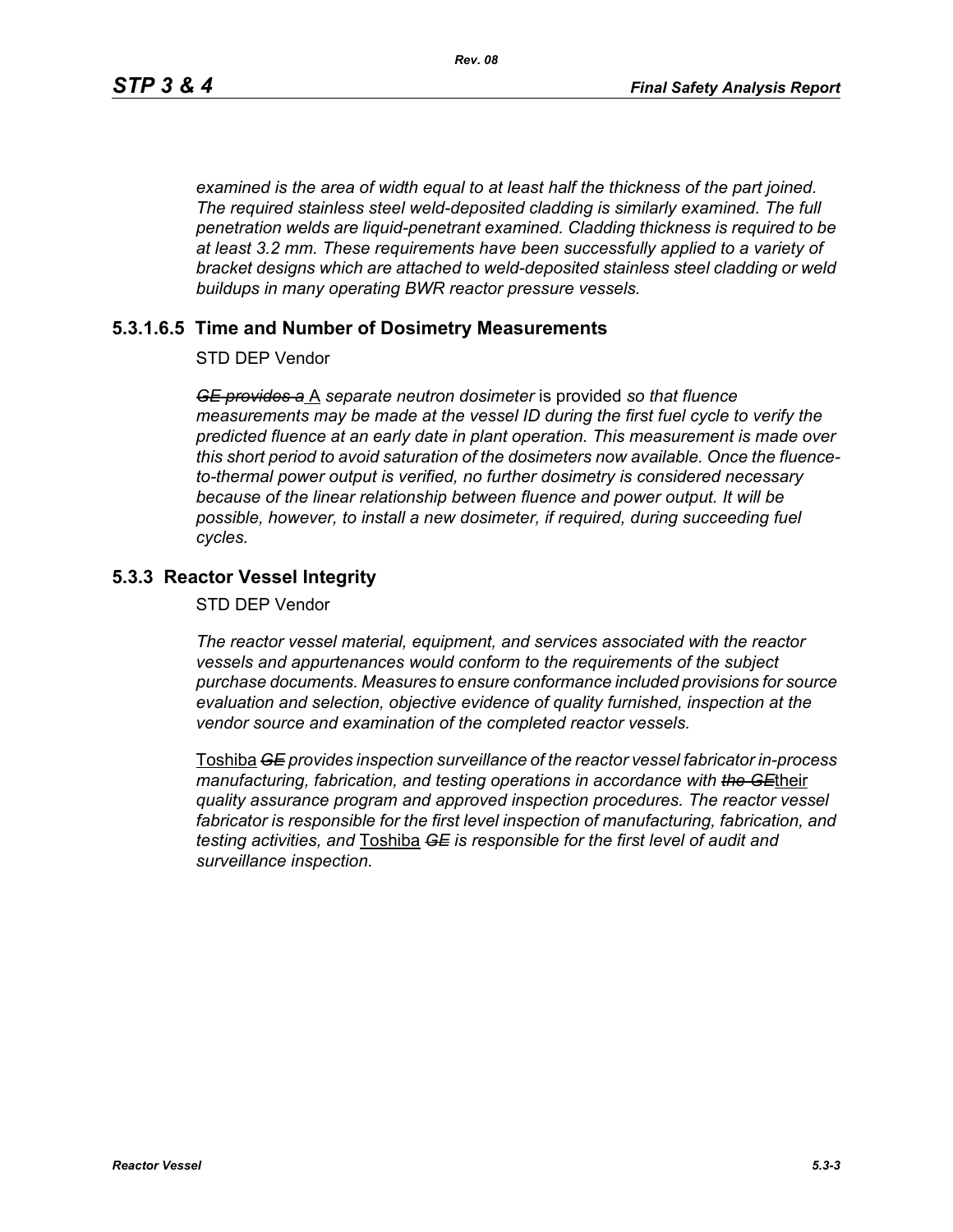*examined is the area of width equal to at least half the thickness of the part joined. The required stainless steel weld-deposited cladding is similarly examined. The full penetration welds are liquid-penetrant examined. Cladding thickness is required to be at least 3.2 mm. These requirements have been successfully applied to a variety of bracket designs which are attached to weld-deposited stainless steel cladding or weld buildups in many operating BWR reactor pressure vessels.*

## **5.3.1.6.5 Time and Number of Dosimetry Measurements**

STD DEP Vendor

*GE provides a* A *separate neutron dosimeter* is provided *so that fluence measurements may be made at the vessel ID during the first fuel cycle to verify the predicted fluence at an early date in plant operation. This measurement is made over this short period to avoid saturation of the dosimeters now available. Once the fluenceto-thermal power output is verified, no further dosimetry is considered necessary because of the linear relationship between fluence and power output. It will be possible, however, to install a new dosimeter, if required, during succeeding fuel cycles.*

# **5.3.3 Reactor Vessel Integrity**

STD DEP Vendor

*The reactor vessel material, equipment, and services associated with the reactor vessels and appurtenances would conform to the requirements of the subject purchase documents. Measures to ensure conformance included provisions for source evaluation and selection, objective evidence of quality furnished, inspection at the vendor source and examination of the completed reactor vessels.*

Toshiba *GE provides inspection surveillance of the reactor vessel fabricator in-process manufacturing, fabrication, and testing operations in accordance with the GE*their *quality assurance program and approved inspection procedures. The reactor vessel fabricator is responsible for the first level inspection of manufacturing, fabrication, and testing activities, and* Toshiba *GE is responsible for the first level of audit and surveillance inspection.*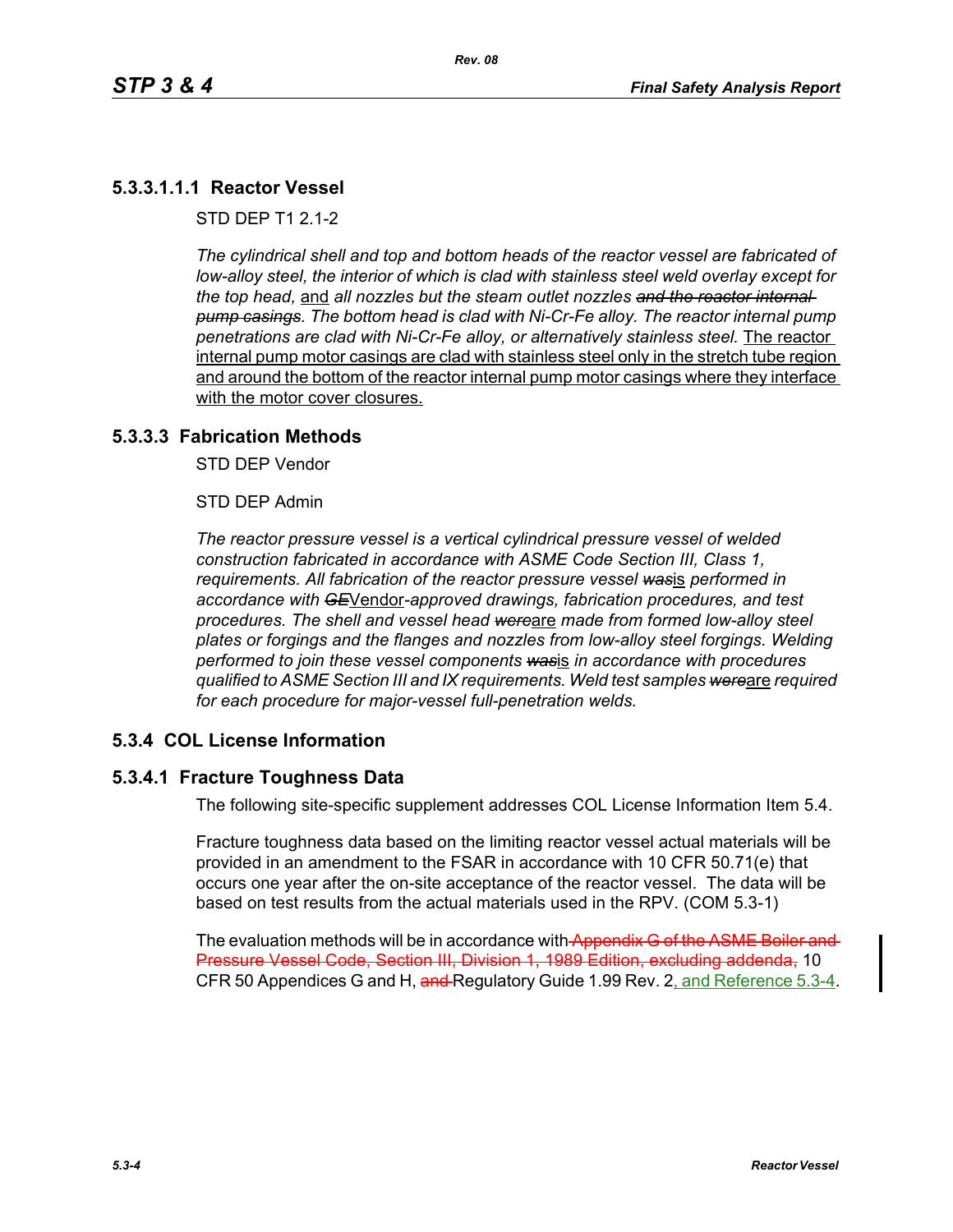# **5.3.3.1.1.1 Reactor Vessel**

STD DFP T1 2 1-2

*The cylindrical shell and top and bottom heads of the reactor vessel are fabricated of low-alloy steel, the interior of which is clad with stainless steel weld overlay except for the top head,* and *all nozzles but the steam outlet nozzles and the reactor internal pump casings. The bottom head is clad with Ni-Cr-Fe alloy. The reactor internal pump penetrations are clad with Ni-Cr-Fe alloy, or alternatively stainless steel.* The reactor internal pump motor casings are clad with stainless steel only in the stretch tube region and around the bottom of the reactor internal pump motor casings where they interface with the motor cover closures.

### **5.3.3.3 Fabrication Methods**

STD DEP Vendor

STD DEP Admin

*The reactor pressure vessel is a vertical cylindrical pressure vessel of welded construction fabricated in accordance with ASME Code Section III, Class 1, requirements. All fabrication of the reactor pressure vessel was*is *performed in accordance with GE*Vendor*-approved drawings, fabrication procedures, and test procedures. The shell and vessel head were*are *made from formed low-alloy steel plates or forgings and the flanges and nozzles from low-alloy steel forgings. Welding performed to join these vessel components was*is *in accordance with procedures qualified to ASME Section III and IX requirements. Weld test samples were*are *required for each procedure for major-vessel full-penetration welds.*

### **5.3.4 COL License Information**

### **5.3.4.1 Fracture Toughness Data**

The following site-specific supplement addresses COL License Information Item 5.4.

Fracture toughness data based on the limiting reactor vessel actual materials will be provided in an amendment to the FSAR in accordance with 10 CFR 50.71(e) that occurs one year after the on-site acceptance of the reactor vessel. The data will be based on test results from the actual materials used in the RPV. (COM 5.3-1)

The evaluation methods will be in accordance with Appendix G of the ASME Boiler and Pressure Vessel Code, Section III, Division 1, 1989 Edition, excluding addenda, 10 CFR 50 Appendices G and H, and Regulatory Guide 1.99 Rev. 2, and Reference 5.3-4.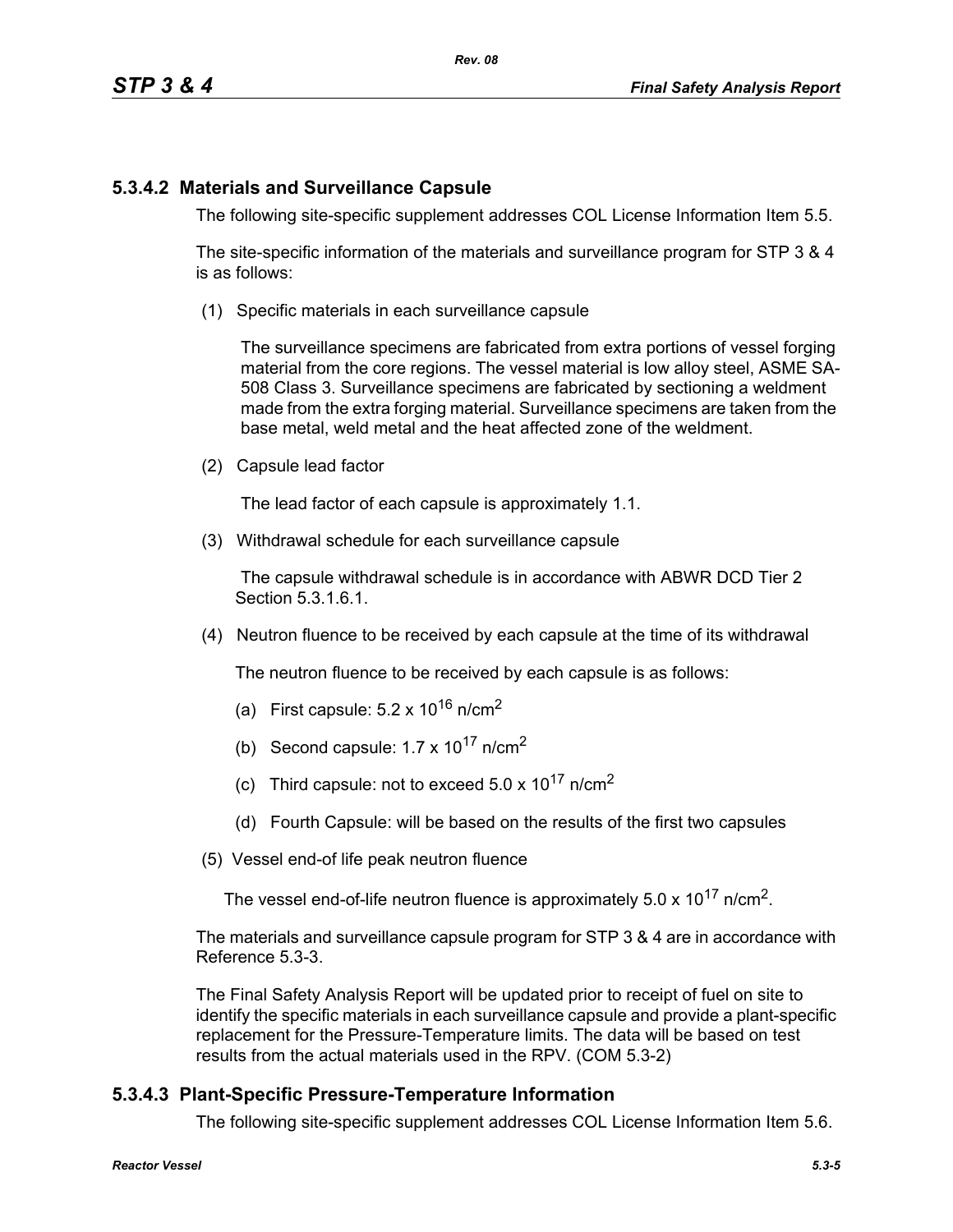# **5.3.4.2 Materials and Surveillance Capsule**

The following site-specific supplement addresses COL License Information Item 5.5.

The site-specific information of the materials and surveillance program for STP 3 & 4 is as follows:

(1) Specific materials in each surveillance capsule

The surveillance specimens are fabricated from extra portions of vessel forging material from the core regions. The vessel material is low alloy steel, ASME SA-508 Class 3. Surveillance specimens are fabricated by sectioning a weldment made from the extra forging material. Surveillance specimens are taken from the base metal, weld metal and the heat affected zone of the weldment.

(2) Capsule lead factor

The lead factor of each capsule is approximately 1.1.

(3) Withdrawal schedule for each surveillance capsule

The capsule withdrawal schedule is in accordance with ABWR DCD Tier 2 Section 5.3.1.6.1.

(4) Neutron fluence to be received by each capsule at the time of its withdrawal

The neutron fluence to be received by each capsule is as follows:

- (a) First capsule:  $5.2 \times 10^{16}$  n/cm<sup>2</sup>
- (b) Second capsule:  $1.7 \times 10^{17}$  n/cm<sup>2</sup>
- (c) Third capsule: not to exceed  $5.0 \times 10^{17}$  n/cm<sup>2</sup>
- (d) Fourth Capsule: will be based on the results of the first two capsules
- (5) Vessel end-of life peak neutron fluence

The vessel end-of-life neutron fluence is approximately  $5.0 \times 10^{17}$  n/cm<sup>2</sup>.

The materials and surveillance capsule program for STP 3 & 4 are in accordance with Reference 5.3-3.

The Final Safety Analysis Report will be updated prior to receipt of fuel on site to identify the specific materials in each surveillance capsule and provide a plant-specific replacement for the Pressure-Temperature limits. The data will be based on test results from the actual materials used in the RPV. (COM 5.3-2)

# **5.3.4.3 Plant-Specific Pressure-Temperature Information**

The following site-specific supplement addresses COL License Information Item 5.6.